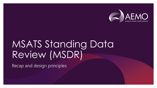

# MSATS Standing Data Review (MSDR)

Recap and design principles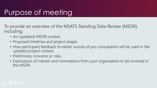## Purpose of meeting

To provide an overview of the MSATS Standing Data Review (MSDR), including:

- An (updated) MSDR context.
- Proposed timelines and project stages.
- How participant feedback to earlier rounds of pre-consultation will be used in the updated project context.
- Preliminary concerns or risks.
- Expressions of interest and nominations from your organisation to be involved in the MSDR.

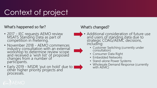## Context of project

#### What's happened so far?

- 2017 IEC reguests AEMO review MSATS Standing Data as part of competition in metering.
- November 2018 AEMO commences industry consultation with an external workshop to determine review scope and received a 'wish list' of proposed changes from a number of participants.
- Early 2019 MSDR 'put on hold' due to other higher priority projects and processes.

#### What's changed?

- Additional consideration of future use and users of standing data due to strategic COAG/AEMC decisions, including:
	- Customer Switching (currently under consultation)
	- Consumer Data Right
	- Embedded Networks
	- Stand-alone Power Systems
	- Wholesale Demand Response (currently with AEMC)

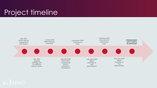## Project timeline



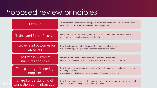## Proposed review principles

| Efficient                              | • To have standing data available to support the efficient operations of the electricity market<br>• Does not increase barriers to market entry or competition                                 |
|----------------------------------------|------------------------------------------------------------------------------------------------------------------------------------------------------------------------------------------------|
| Flexible and future focussed           | • Design flexibility so that standing data supports the current and future electricity market<br>• All data must be complete, accurate, and useful                                             |
| Improve retail outcomes for            | • Provide data supporting the Consumer Data Right legislative reform                                                                                                                           |
| customers                              | • Provide data supporting wholesale demand response participants                                                                                                                               |
| Facilitate new market                  | • Facilitate existing roles and reforms such as competitive metering                                                                                                                           |
| structures and roles                   | • Enable future market roles and structures such as embedded network reforms                                                                                                                   |
| Transparency of metering<br>compliance | • Provide data for transparency of compliance for market participants and maintenance for<br>metering installations<br>• Appropriate and timely data for maintenance of metering installations |
| Shared understanding of                | . Provide appropriate market participants and other authorised parties with a consistent, full,                                                                                                |
| connection point information           | and shared understanding of each connection point                                                                                                                                              |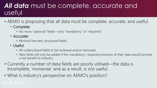#### *All data* must be complete, accurate and useful

- AEMO is proposing that all data must be complete, accurate, and useful.
	- Complete:
		- No more "optional" fields—only "mandatory" or "required".
	- Accurate:
		- Minimal free text, structured fields.
	- Useful:
		- All underutilised fields to be reviewed and/or removed.
		- New fields will only be added if the mandatory / required provision of their data would provide a net benefit to industry.
- Currently a number of data fields are poorly utilised—the data is incomplete, 'nonsense' and as a result, is not useful.
- What is industry's perspective on AEMO's position?

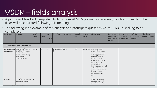## MSDR – fields analysis

- A participant feedback template which includes AEMO's preliminary analysis / position on each of the fields will be circulated following this meeting.
- The following is an example of this analysis and participant questions which AEMO is seeking to be completed:

| Field Name  | <b>Description</b><br>Connection and metering point details                                                                                                | New/<br>existing | $M/R/O$ to         | Party<br>provide | Data Type               | <b>Validations</b> | Population<br>rate | Link to<br>the NER? | <b>AEMO's view</b>                                                                                                                                                                                                                                                                                                                               | Do you need<br>or use this<br>field? Please<br>explain | Is it useful for<br>consumers?<br>Please explain   reforms? | Useful for<br>other market | Who should<br>provide this data? |
|-------------|------------------------------------------------------------------------------------------------------------------------------------------------------------|------------------|--------------------|------------------|-------------------------|--------------------|--------------------|---------------------|--------------------------------------------------------------------------------------------------------------------------------------------------------------------------------------------------------------------------------------------------------------------------------------------------------------------------------------------------|--------------------------------------------------------|-------------------------------------------------------------|----------------------------|----------------------------------|
| Information | Additional Site   Descriptive of the Site,<br>describing Site access<br>and the relationship<br>between the metering<br>point and the<br>connection point. | Existing         | $\overline{\circ}$ | <b>MPB</b>       | VARCHAR2(10 None<br>(0) |                    | 4.10%              | S7.1.2(a)(3)        | If there are specific<br>pieces of information<br>about a connection or<br>metering point that<br>participants see as<br>necessary (e.g. an<br>asbestos flag), AEMO<br>would prefer that<br>Additional Site<br>Information be removed<br>and that those other<br>pieces of information be<br>formally added as<br>separate structured<br>fields. |                                                        |                                                             |                            |                                  |
| Asbestos    | A Y/N flag indicating the New<br>presence of asbestos.                                                                                                     |                  |                    |                  |                         |                    |                    |                     | AEMO asks whether<br>participants currently<br>store this information                                                                                                                                                                                                                                                                            |                                                        |                                                             |                            |                                  |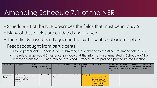### Amending Schedule 7.1 of the NER

- Schedule 7.1 of the NER prescribes the fields that must be in MSATS.
- Many of these fields are outdated and unused.
- These fields have been flagged in the participant feedback template.
- Feedback sought from participants:
	- Would participants support AEMO submitting a rule change to the AEMC to amend Schedule 7.1?
	- The rule change would (in essence) propose that the information enumerated in Schedule 7.1 be removed from the NER and moved into MSATS Procedures as part of a procedure consultation.

| Field Name  | Description         | New/<br>existing | $M/R/O$ to | Party<br>provide | Data Type | Validations | rate      | Population   Link to the<br>NER? | AEMO's view           | or use this<br>explain | Do you need   Is it useful for<br>  consumers?<br>field? Please   Please explain   reforms? | $ $ Useful for<br>other market | Who should<br>provide this<br>data? |
|-------------|---------------------|------------------|------------|------------------|-----------|-------------|-----------|----------------------------------|-----------------------|------------------------|---------------------------------------------------------------------------------------------|--------------------------------|-------------------------------------|
| Calibration | Details of any      | Existing         | $\circ$    | <b>MPB</b>       | VARCHAR2( | None        | $ 0.00\%$ | $\sqrt{57.1.2(b)(7)}$            | Assuming participants |                        |                                                                                             |                                |                                     |
| Tables      | calibration factors |                  |            |                  | 50)       |             |           |                                  | are comfortable with  |                        |                                                                                             |                                |                                     |
|             | programmed into     |                  |            |                  |           |             |           |                                  | the amendment of      |                        |                                                                                             |                                |                                     |
|             | the <i>meter</i> .  |                  |            |                  |           |             |           |                                  | Schedule 7.1, AEMO    |                        |                                                                                             |                                |                                     |
|             |                     |                  |            |                  |           |             |           |                                  | recommends that this  |                        |                                                                                             |                                |                                     |
|             |                     |                  |            |                  |           |             |           |                                  | field be removed.     |                        |                                                                                             |                                |                                     |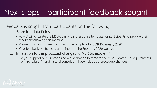## Next steps – participant feedback sought

Feedback is sought from participants on the following:

- 1. Standing data fields:
	- AEMO will circulate the MSDR participant response template for participants to provide their feedback following this meeting.
	- Please provide your feedback using the template by COB 10 January 2020.
	- Your feedback will be used as an input to the February 2020 workshop.
- 2. In relation to the proposed changes to NER Schedule 7.1:
	- Do you support AEMO proposing a rule change to remove the MSATS data field requirements from Schedule 7.1 and instead consult on these fields as a procedure change?

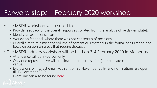### Forward steps – February 2020 workshop

- The MSDR workshop will be used to:
	- Provide feedback of the overall responses collated from the analysis of fields (template).
	- Identify areas of consensus.
	- Workshop feedback where there was not consensus of positions.
	- Overall aim to minimise the volume of contentious material in the formal consultation and focus discussion on areas that require discussion.
- The MSDR industry workshop will be held on 3-4 February 2020 in Melbourne.
	- Attendance will be in-person only.
	- Only one representative will be allowed per organisation (numbers are capped at the venue).
	- Expressions of interest email was sent on 25 November 2019, and nominations are open till 13 December 2019.
	- Event link can also be found [here](https://www.eventbrite.com.au/e/msats-standing-data-review-pre-consultation-workshop-registration-83551826763).